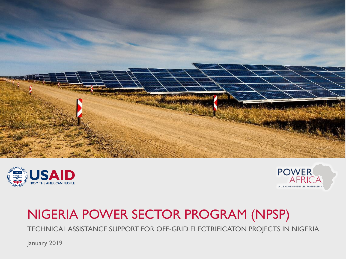





# NIGERIA POWER SECTOR PROGRAM (NPSP)

TECHNICAL ASSISTANCE SUPPORT FOR OFF-GRID ELECTRIFICATON PROJECTS IN NIGERIA

January 2019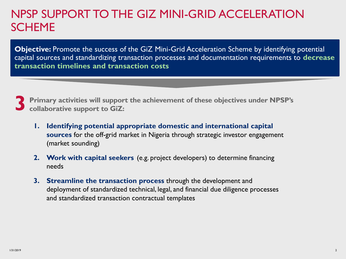### NPSP SUPPORT TO THE GIZ MINI-GRID ACCELERATION SCHEME

**Objective:** Promote the success of the GiZ Mini-Grid Acceleration Scheme by identifying potential capital sources and standardizing transaction processes and documentation requirements to **decrease transaction timelines and transaction costs**

**3 Primary activities will support the achievement of these objectives under NPSP's collaborative support to GiZ:** 

- **1. Identifying potential appropriate domestic and international capital sources** for the off-grid market in Nigeria through strategic investor engagement (market sounding)
- **2. Work with capital seekers** (e.g. project developers) to determine financing needs
- **3. Streamline the transaction process** through the development and deployment of standardized technical, legal, and financial due diligence processes and standardized transaction contractual templates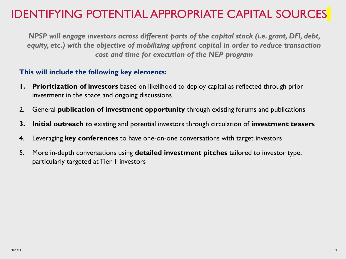### IDENTIFYING POTENTIAL APPROPRIATE CAPITAL SOURCES

*NPSP will engage investors across different parts of the capital stack (i.e. grant, DFI, debt, equity, etc.) with the objective of mobilizing upfront capital in order to reduce transaction cost and time for execution of the NEP program*

#### **This will include the following key elements:**

- **1. Prioritization of investors** based on likelihood to deploy capital as reflected through prior investment in the space and ongoing discussions
- 2. General **publication of investment opportunity** through existing forums and publications
- **3. Initial outreach** to existing and potential investors through circulation of **investment teasers**
- 4. Leveraging **key conferences** to have one-on-one conversations with target investors
- 5. More in-depth conversations using **detailed investment pitches** tailored to investor type, particularly targeted at Tier 1 investors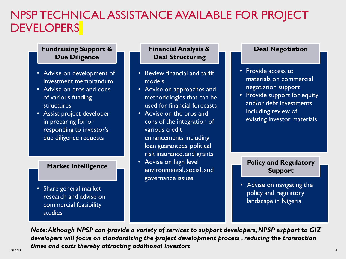### NPSP TECHNICAL ASSISTANCE AVAILABLE FOR PROJECT **DEVELOPERS**

#### **Fundraising Support & Due Diligence**

- Advise on development of investment memorandum
- Advise on pros and cons of various funding structures
- Assist project developer in preparing for or responding to investor's due diligence requests

#### **Market Intelligence**

• Share general market research and advise on commercial feasibility studies

#### **Financial Analysis & Deal Structuring**

- Review financial and tariff models
- Advise on approaches and methodologies that can be used for financial forecasts
- Advise on the pros and cons of the integration of various credit enhancements including loan guarantees, political risk insurance, and grants
- Advise on high level environmental, social, and governance issues

#### **Deal Negotiation**

- Provide access to materials on commercial negotiation support
- Provide support for equity and/or debt investments including review of existing investor materials

#### **Policy and Regulatory Support**

• Advise on navigating the policy and regulatory landscape in Nigeria

1/31/2019 4 *Note: Although NPSP can provide a variety of services to support developers, NPSP support to GIZ developers will focus on standardizing the project development process , reducing the transaction times and costs thereby attracting additional investors*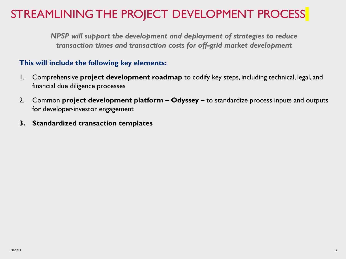### STREAMLINING THE PROJECT DEVELOPMENT PROCESS

*NPSP will support the development and deployment of strategies to reduce transaction times and transaction costs for off-grid market development* 

#### **This will include the following key elements:**

- 1. Comprehensive **project development roadmap** to codify key steps, including technical, legal, and financial due diligence processes
- 2. Common **project development platform – Odyssey –** to standardize process inputs and outputs for developer-investor engagement
- **3. Standardized transaction templates**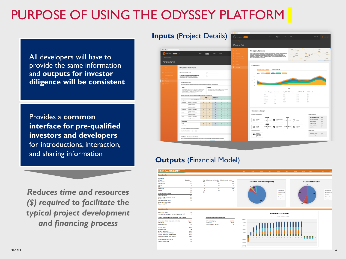# PURPOSE OF USING THE ODYSSEY PLATFORM

All developers will have to provide the same information and **outputs for investor diligence will be consistent**

Provides a **common interface for pre-qualified investors and developers**  for introductions, interaction, and sharing information

*Reduces time and resources (\$) required to facilitate the typical project development and financing process*

## **Inputs** (Project Details) Project Kiroka Grid Morogoro, Tanzania Kiroka Grid **Project Financials**  $2 - 5$ **Balance of**<br>System and<br>Other Costs

#### **Outputs** (Financial Model)

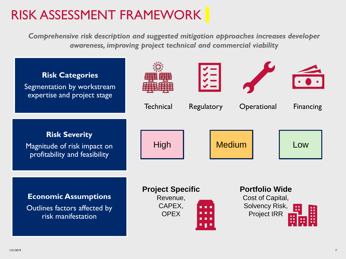# RISK ASSESSMENT FRAMEWORK

*Comprehensive risk description and suggested mitigation approaches increases developer awareness, improving project technical and commercial viability*